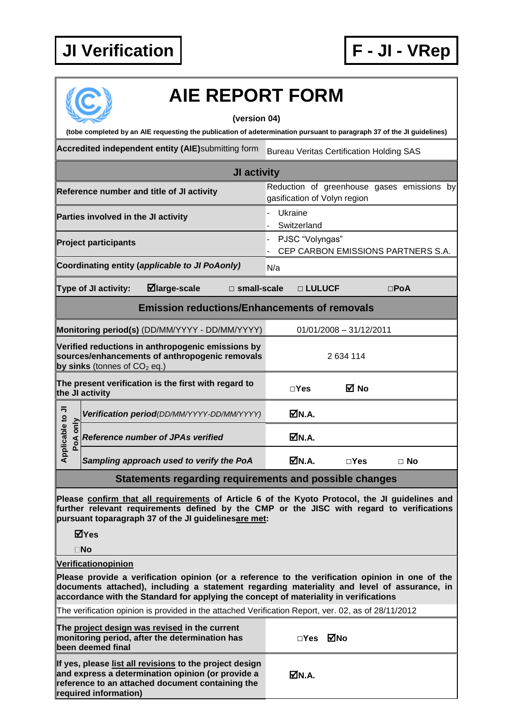## **JI Verification F - JI - VRep**



## **AIE REPORT FORM**

## **(version 04)**

| (tobe completed by an AIE requesting the publication of adetermination pursuant to paragraph 37 of the JI guidelines)                 |                                                                            |  |  |  |  |
|---------------------------------------------------------------------------------------------------------------------------------------|----------------------------------------------------------------------------|--|--|--|--|
| Accredited independent entity (AIE)submitting form                                                                                    | <b>Bureau Veritas Certification Holding SAS</b>                            |  |  |  |  |
| JI activity                                                                                                                           |                                                                            |  |  |  |  |
| Reference number and title of JI activity                                                                                             | Reduction of greenhouse gases emissions by<br>gasification of Volyn region |  |  |  |  |
| Parties involved in the JI activity                                                                                                   | Ukraine<br>Switzerland                                                     |  |  |  |  |
| <b>Project participants</b>                                                                                                           | PJSC "Volyngas"<br>CEP CARBON EMISSIONS PARTNERS S.A.                      |  |  |  |  |
| Coordinating entity (applicable to JI PoAonly)                                                                                        | N/a                                                                        |  |  |  |  |
| Type of JI activity:<br>$\blacksquare$ large-scale<br>□ small-scale                                                                   | □ LULUCF<br>$\square$ PoA                                                  |  |  |  |  |
| <b>Emission reductions/Enhancements of removals</b>                                                                                   |                                                                            |  |  |  |  |
| Monitoring period(s) (DD/MM/YYYY - DD/MM/YYYY)<br>$01/01/2008 - 31/12/2011$                                                           |                                                                            |  |  |  |  |
| Verified reductions in anthropogenic emissions by<br>sources/enhancements of anthropogenic removals<br>by sinks (tonnes of $CO2$ eq.) | 2 634 114                                                                  |  |  |  |  |
| The present verification is the first with regard to<br>the JI activity                                                               | ⊠ No<br>$\Box$ Yes                                                         |  |  |  |  |
| Verification period(DD/MM/YYYY-DD/MM/YYYY)                                                                                            | MN.A.                                                                      |  |  |  |  |
| Applicable to JI<br>only<br><b>Reference number of JPAs verified</b><br>PoA                                                           | ØN.A.                                                                      |  |  |  |  |
| Sampling approach used to verify the PoA                                                                                              | ØN.A.<br>$\square$ Yes<br>$\Box$ No                                        |  |  |  |  |
| Statements regarding requirements and possible changes                                                                                |                                                                            |  |  |  |  |

**Please confirm that all requirements of Article 6 of the Kyoto Protocol, the JI guidelines and further relevant requirements defined by the CMP or the JISC with regard to verifications pursuant toparagraph 37 of the JI guidelinesare met:**

**Yes**

**No**

**Verificationopinion**

**Please provide a verification opinion (or a reference to the verification opinion in one of the documents attached), including a statement regarding materiality and level of assurance, in accordance with the Standard for applying the concept of materiality in verifications**

The verification opinion is provided in the attached Verification Report, ver. 02, as of 28/11/2012

| The project design was revised in the current<br>monitoring period, after the determination has<br>lbeen deemed final                                                                     | □Yes ØNo |  |
|-------------------------------------------------------------------------------------------------------------------------------------------------------------------------------------------|----------|--|
| If yes, please list all revisions to the project design<br>and express a determination opinion (or provide a<br>reference to an attached document containing the<br>required information) | MM.A.    |  |